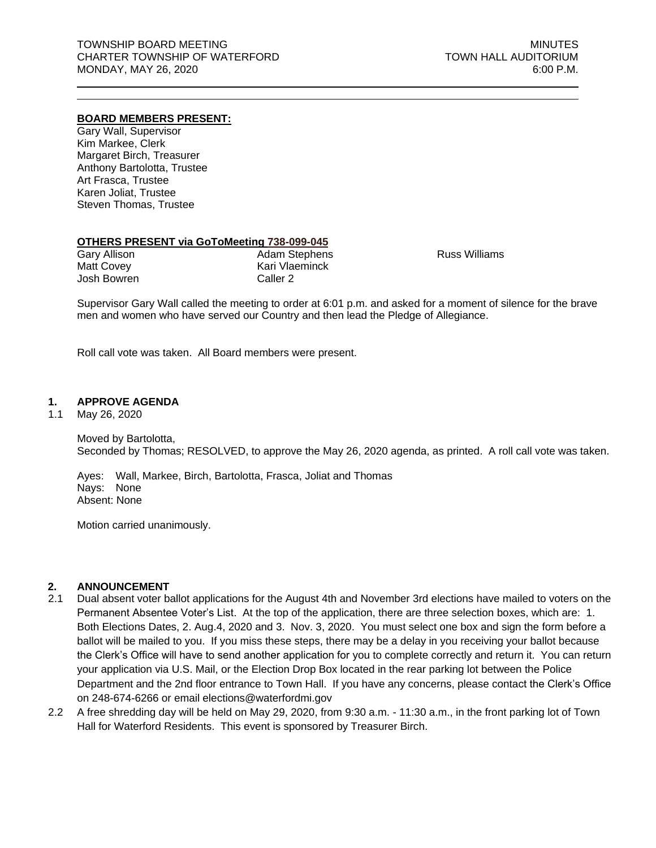### **BOARD MEMBERS PRESENT:**

Gary Wall, Supervisor Kim Markee, Clerk Margaret Birch, Treasurer Anthony Bartolotta, Trustee Art Frasca, Trustee Karen Joliat, Trustee Steven Thomas, Trustee

#### **OTHERS PRESENT via GoToMeeting 738-099-045**

| <b>Adam Stephens</b> |
|----------------------|
| Kari Vlaeminck       |
| Caller 2             |
|                      |

Russ Williams

Supervisor Gary Wall called the meeting to order at 6:01 p.m. and asked for a moment of silence for the brave men and women who have served our Country and then lead the Pledge of Allegiance.

Roll call vote was taken. All Board members were present.

## **1. APPROVE AGENDA**

1.1 May 26, 2020

Moved by Bartolotta, Seconded by Thomas; RESOLVED, to approve the May 26, 2020 agenda, as printed. A roll call vote was taken.

Ayes: Wall, Markee, Birch, Bartolotta, Frasca, Joliat and Thomas Nays: None Absent: None

Motion carried unanimously.

# **2. ANNOUNCEMENT**

- 2.1 Dual absent voter ballot applications for the August 4th and November 3rd elections have mailed to voters on the Permanent Absentee Voter's List. At the top of the application, there are three selection boxes, which are: 1. Both Elections Dates, 2. Aug.4, 2020 and 3. Nov. 3, 2020. You must select one box and sign the form before a ballot will be mailed to you. If you miss these steps, there may be a delay in you receiving your ballot because the Clerk's Office will have to send another application for you to complete correctly and return it. You can return your application via U.S. Mail, or the Election Drop Box located in the rear parking lot between the Police Department and the 2nd floor entrance to Town Hall. If you have any concerns, please contact the Clerk's Office on 248-674-6266 or email [elections@waterfordmi.gov](mailto:elections@waterfordmi.gov)
- 2.2 A free shredding day will be held on May 29, 2020, from 9:30 a.m. 11:30 a.m., in the front parking lot of Town Hall for Waterford Residents. This event is sponsored by Treasurer Birch.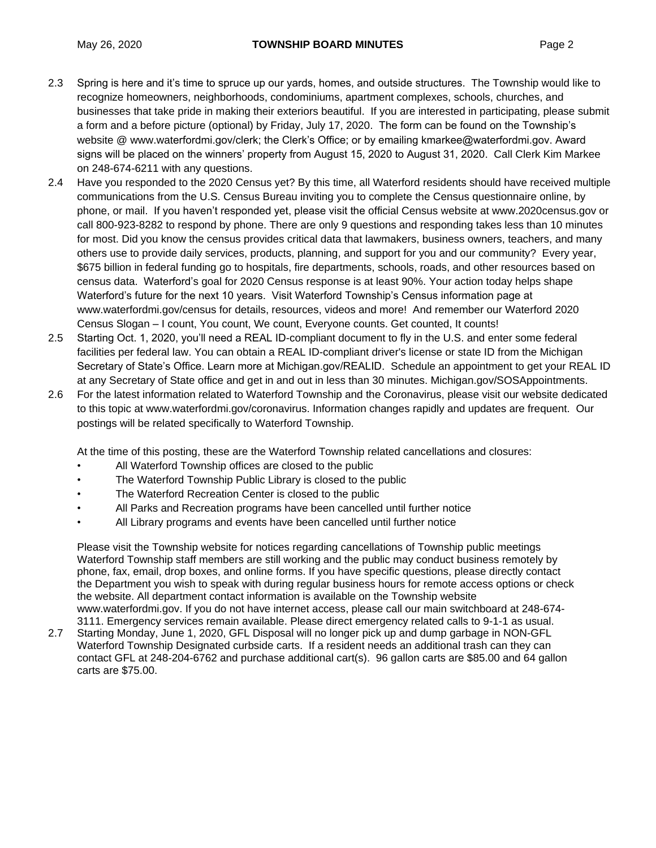- 2.3 Spring is here and it's time to spruce up our yards, homes, and outside structures. The Township would like to recognize homeowners, neighborhoods, condominiums, apartment complexes, schools, churches, and businesses that take pride in making their exteriors beautiful. If you are interested in participating, please submit a form and a before picture (optional) by Friday, July 17, 2020. The form can be found on the Township's website @ www.waterfordmi.gov/clerk; the Clerk's Office; or by emailing kmarkee@waterfordmi.gov. Award signs will be placed on the winners' property from August 15, 2020 to August 31, 2020. Call Clerk Kim Markee on 248-674-6211 with any questions.
- 2.4 Have you responded to the 2020 Census yet? By this time, all Waterford residents should have received multiple communications from the U.S. Census Bureau inviting you to complete the Census questionnaire online, by phone, or mail. If you haven't responded yet, please visit the official Census website at www.2020census.gov or call 800-923-8282 to respond by phone. There are only 9 questions and responding takes less than 10 minutes for most. Did you know the census provides critical data that lawmakers, business owners, teachers, and many others use to provide daily services, products, planning, and support for you and our community? Every year, \$675 billion in federal funding go to hospitals, fire departments, schools, roads, and other resources based on census data. Waterford's goal for 2020 Census response is at least 90%. Your action today helps shape Waterford's future for the next 10 years. Visit Waterford Township's Census information page at www.waterfordmi.gov/census for details, resources, videos and more! And remember our Waterford 2020 Census Slogan – I count, You count, We count, Everyone counts. Get counted, It counts!
- 2.5 Starting Oct. 1, 2020, you'll need a REAL ID-compliant document to fly in the U.S. and enter some federal facilities per federal law. You can obtain a REAL ID-compliant driver's license or state ID from the Michigan Secretary of State's Office. Learn more at Michigan.gov/REALID. Schedule an appointment to get your REAL ID at any Secretary of State office and get in and out in less than 30 minutes. Michigan.gov/SOSAppointments.
- 2.6 For the latest information related to Waterford Township and the Coronavirus, please visit our website dedicated to this topic at www.waterfordmi.gov/coronavirus. Information changes rapidly and updates are frequent. Our postings will be related specifically to Waterford Township.

At the time of this posting, these are the Waterford Township related cancellations and closures:

- All Waterford Township offices are closed to the public
- The Waterford Township Public Library is closed to the public
- The Waterford Recreation Center is closed to the public
- All Parks and Recreation programs have been cancelled until further notice
- All Library programs and events have been cancelled until further notice

Please visit the Township website for notices regarding cancellations of Township public meetings Waterford Township staff members are still working and the public may conduct business remotely by phone, fax, email, drop boxes, and online forms. If you have specific questions, please directly contact the Department you wish to speak with during regular business hours for remote access options or check the website. All department contact information is available on the Township website www.waterfordmi.gov. If you do not have internet access, please call our main switchboard at 248-674- 3111. Emergency services remain available. Please direct emergency related calls to 9-1-1 as usual.

2.7 Starting Monday, June 1, 2020, GFL Disposal will no longer pick up and dump garbage in NON-GFL Waterford Township Designated curbside carts. If a resident needs an additional trash can they can contact GFL at 248-204-6762 and purchase additional cart(s). 96 gallon carts are \$85.00 and 64 gallon carts are \$75.00.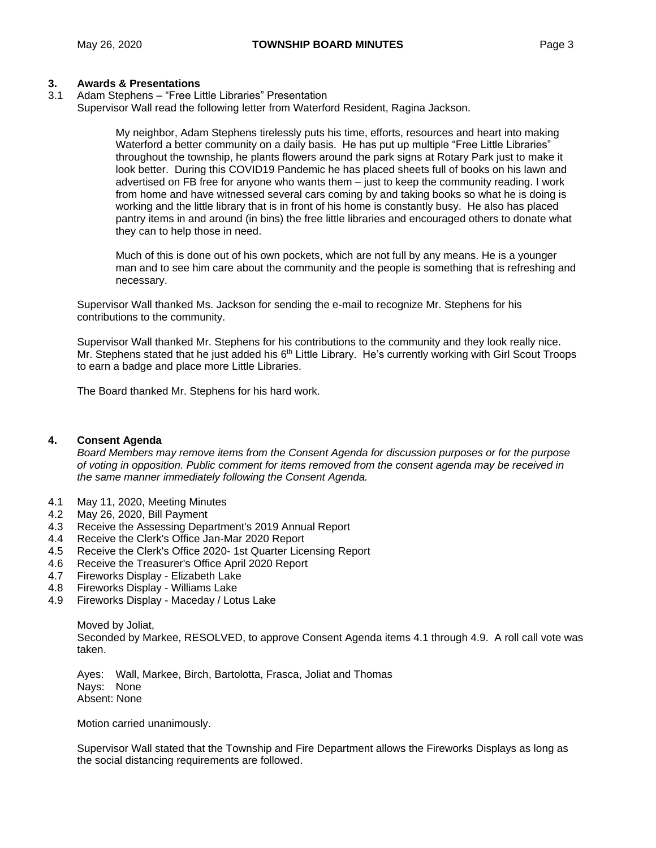# **3. Awards & Presentations**

3.1 Adam Stephens – "Free Little Libraries" Presentation Supervisor Wall read the following letter from Waterford Resident, Ragina Jackson.

> My neighbor, Adam Stephens tirelessly puts his time, efforts, resources and heart into making Waterford a better community on a daily basis. He has put up multiple "Free Little Libraries" throughout the township, he plants flowers around the park signs at Rotary Park just to make it look better. During this COVID19 Pandemic he has placed sheets full of books on his lawn and advertised on FB free for anyone who wants them – just to keep the community reading. I work from home and have witnessed several cars coming by and taking books so what he is doing is working and the little library that is in front of his home is constantly busy. He also has placed pantry items in and around (in bins) the free little libraries and encouraged others to donate what they can to help those in need.

Much of this is done out of his own pockets, which are not full by any means. He is a younger man and to see him care about the community and the people is something that is refreshing and necessary.

Supervisor Wall thanked Ms. Jackson for sending the e-mail to recognize Mr. Stephens for his contributions to the community.

Supervisor Wall thanked Mr. Stephens for his contributions to the community and they look really nice. Mr. Stephens stated that he just added his 6<sup>th</sup> Little Library. He's currently working with Girl Scout Troops to earn a badge and place more Little Libraries.

The Board thanked Mr. Stephens for his hard work.

# **4. Consent Agenda**

*Board Members may remove items from the Consent Agenda for discussion purposes or for the purpose of voting in opposition. Public comment for items removed from the consent agenda may be received in the same manner immediately following the Consent Agenda.*

- 4.1 May 11, 2020, Meeting Minutes
- 4.2 May 26, 2020, Bill Payment
- 4.3 Receive the Assessing Department's 2019 Annual Report
- 4.4 Receive the Clerk's Office Jan-Mar 2020 Report
- 4.5 Receive the Clerk's Office 2020- 1st Quarter Licensing Report
- 4.6 Receive the Treasurer's Office April 2020 Report
- 4.7 Fireworks Display Elizabeth Lake
- 4.8 Fireworks Display Williams Lake
- 4.9 Fireworks Display Maceday / Lotus Lake

Moved by Joliat, Seconded by Markee, RESOLVED, to approve Consent Agenda items 4.1 through 4.9. A roll call vote was taken.

Ayes: Wall, Markee, Birch, Bartolotta, Frasca, Joliat and Thomas Nays: None Absent: None

Motion carried unanimously.

Supervisor Wall stated that the Township and Fire Department allows the Fireworks Displays as long as the social distancing requirements are followed.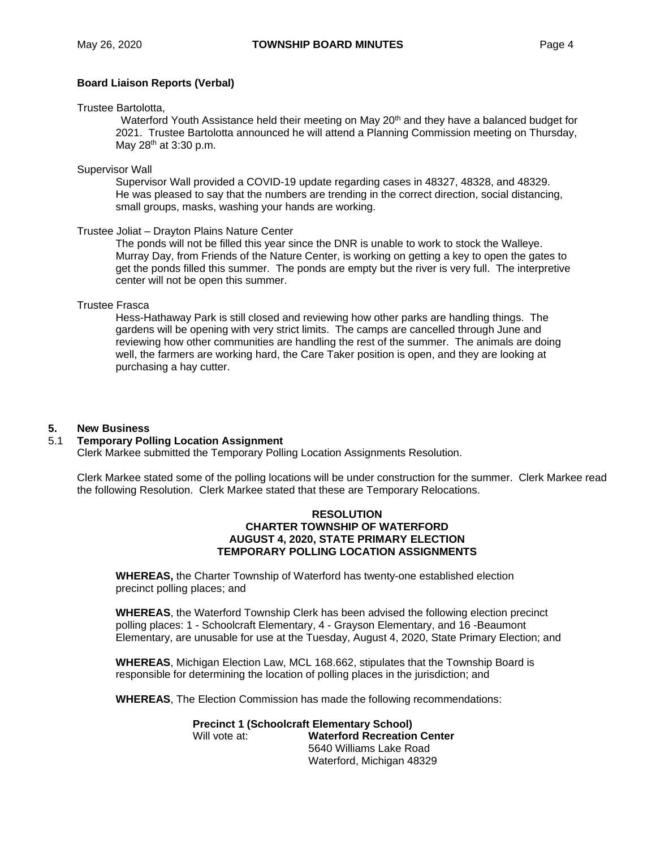# **Board Liaison Reports (Verbal)**

#### Trustee Bartolotta,

Waterford Youth Assistance held their meeting on May 20<sup>th</sup> and they have a balanced budget for 2021. Trustee Bartolotta announced he will attend a Planning Commission meeting on Thursday, May 28<sup>th</sup> at 3:30 p.m.

### Supervisor Wall

Supervisor Wall provided a COVID-19 update regarding cases in 48327, 48328, and 48329. He was pleased to say that the numbers are trending in the correct direction, social distancing, small groups, masks, washing your hands are working.

## Trustee Joliat – Drayton Plains Nature Center

The ponds will not be filled this year since the DNR is unable to work to stock the Walleye. Murray Day, from Friends of the Nature Center, is working on getting a key to open the gates to get the ponds filled this summer. The ponds are empty but the river is very full. The interpretive center will not be open this summer.

## Trustee Frasca

Hess-Hathaway Park is still closed and reviewing how other parks are handling things. The gardens will be opening with very strict limits. The camps are cancelled through June and reviewing how other communities are handling the rest of the summer. The animals are doing well, the farmers are working hard, the Care Taker position is open, and they are looking at purchasing a hay cutter.

# **5. New Business**

# 5.1 **Temporary Polling Location Assignment**

Clerk Markee submitted the Temporary Polling Location Assignments Resolution.

Clerk Markee stated some of the polling locations will be under construction for the summer. Clerk Markee read the following Resolution. Clerk Markee stated that these are Temporary Relocations.

#### **RESOLUTION CHARTER TOWNSHIP OF WATERFORD AUGUST 4, 2020, STATE PRIMARY ELECTION TEMPORARY POLLING LOCATION ASSIGNMENTS**

**WHEREAS,** the Charter Township of Waterford has twenty-one established election precinct polling places; and

**WHEREAS**, the Waterford Township Clerk has been advised the following election precinct polling places: 1 - Schoolcraft Elementary, 4 - Grayson Elementary, and 16 -Beaumont Elementary, are unusable for use at the Tuesday, August 4, 2020, State Primary Election; and

**WHEREAS**, Michigan Election Law, MCL 168.662, stipulates that the Township Board is responsible for determining the location of polling places in the jurisdiction; and

**WHEREAS**, The Election Commission has made the following recommendations:

**Precinct 1 (Schoolcraft Elementary School)** Will vote at: **Waterford Recreation Center** 5640 Williams Lake Road Waterford, Michigan 48329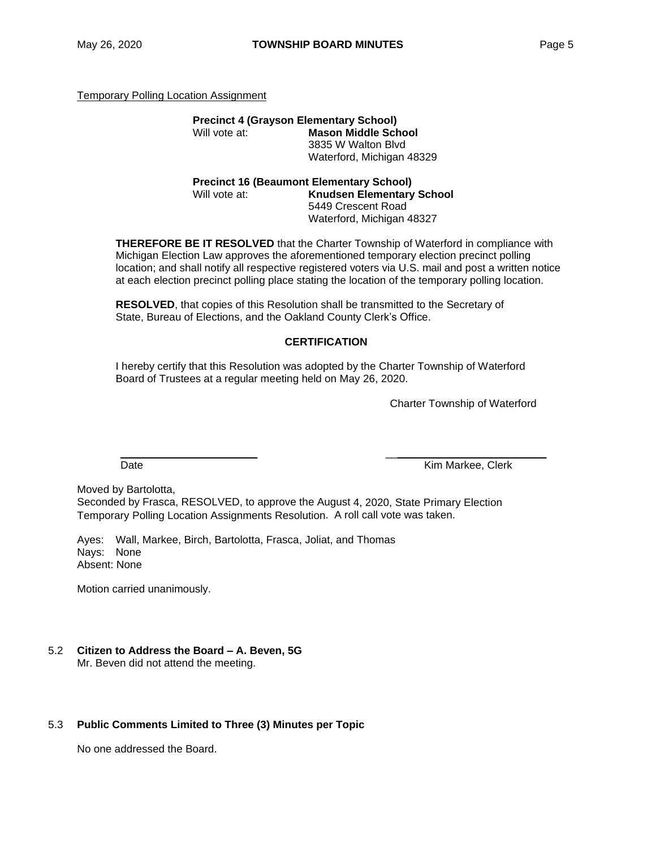Temporary Polling Location Assignment

| <b>Precinct 4 (Grayson Elementary School)</b>      |                            |  |  |  |  |  |
|----------------------------------------------------|----------------------------|--|--|--|--|--|
| Will vote at:                                      | <b>Mason Middle School</b> |  |  |  |  |  |
|                                                    | 3835 W Walton Blvd         |  |  |  |  |  |
|                                                    | Waterford, Michigan 48329  |  |  |  |  |  |
| <b>Procinct 16 (Requirement Flementary School)</b> |                            |  |  |  |  |  |

**Precinct 16 (Beaumont Elementary School)** Will vote at: **Knudsen Elementary School** 5449 Crescent Road Waterford, Michigan 48327

**THEREFORE BE IT RESOLVED** that the Charter Township of Waterford in compliance with Michigan Election Law approves the aforementioned temporary election precinct polling location; and shall notify all respective registered voters via U.S. mail and post a written notice at each election precinct polling place stating the location of the temporary polling location.

**RESOLVED**, that copies of this Resolution shall be transmitted to the Secretary of State, Bureau of Elections, and the Oakland County Clerk's Office.

# **CERTIFICATION**

\_\_\_\_\_\_\_\_\_\_\_\_\_\_\_\_\_\_\_\_\_\_\_ \_\_\_\_\_\_\_\_\_\_\_\_\_\_\_\_\_\_\_\_\_\_\_\_\_\_\_

I hereby certify that this Resolution was adopted by the Charter Township of Waterford Board of Trustees at a regular meeting held on May 26, 2020.

Charter Township of Waterford

Date **Case According to the Contract Contract Contract Contract Contract Contract Contract Contract Contract Contract Contract Contract Contract Contract Contract Contract Contract Contract Contract Contract Contract Contr** 

Moved by Bartolotta,

Seconded by Frasca, RESOLVED, to approve the August 4, 2020, State Primary Election Temporary Polling Location Assignments Resolution. A roll call vote was taken.

Ayes: Wall, Markee, Birch, Bartolotta, Frasca, Joliat, and Thomas Nays: None Absent: None

Motion carried unanimously.

#### 5.2 **Citizen to Address the Board – A. Beven, 5G** Mr. Beven did not attend the meeting.

#### 5.3 **Public Comments Limited to Three (3) Minutes per Topic**

No one addressed the Board.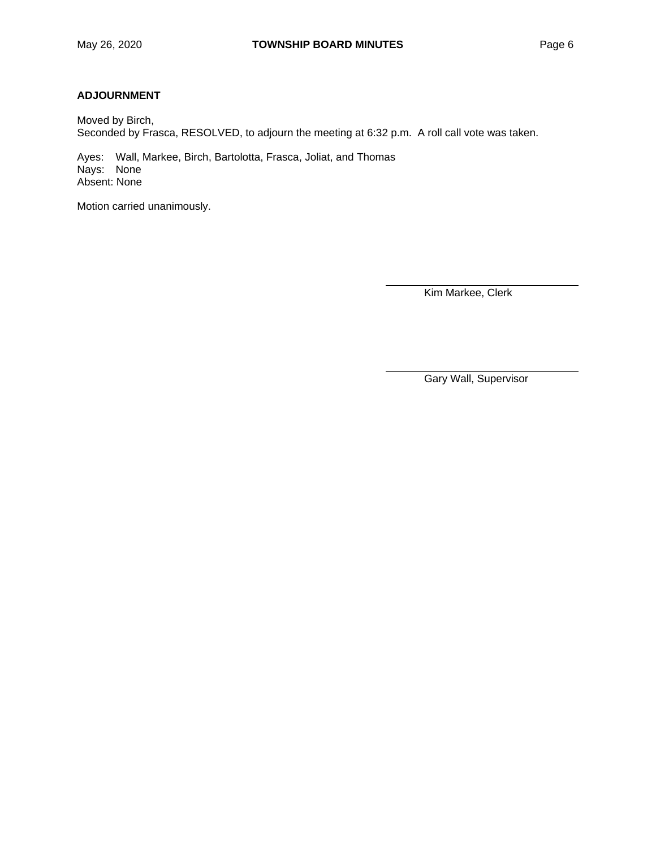# **ADJOURNMENT**

Moved by Birch, Seconded by Frasca, RESOLVED, to adjourn the meeting at 6:32 p.m. A roll call vote was taken.

Ayes: Wall, Markee, Birch, Bartolotta, Frasca, Joliat, and Thomas Nays: None Absent: None

Motion carried unanimously.

Kim Markee, Clerk

Gary Wall, Supervisor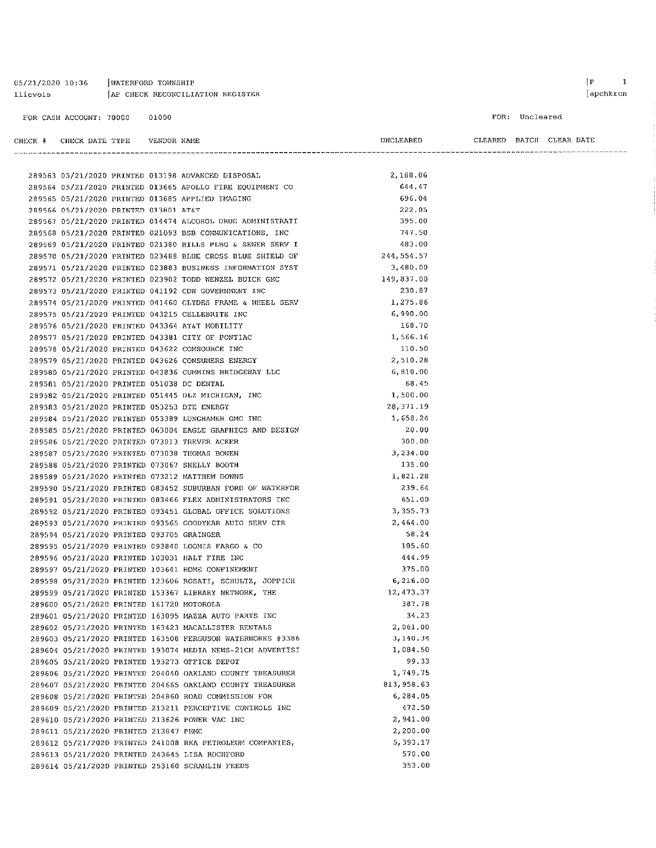| llievois |                                            |       | AP CHECK RECONCILIATION REGISTER                                                                                       |                  |                          |                | apchkrcn |
|----------|--------------------------------------------|-------|------------------------------------------------------------------------------------------------------------------------|------------------|--------------------------|----------------|----------|
|          | FOR CASH ACCOUNT: 70000                    | 01000 |                                                                                                                        |                  |                          | FOR: Uncleared |          |
|          | CHECK # CHECK DATE TYPE VENDOR NAME        |       |                                                                                                                        | UNCLEARED        | CLEARED BATCH CLEAR DATE |                |          |
|          |                                            |       |                                                                                                                        |                  |                          |                |          |
|          |                                            |       | 289563 05/21/2020 PRINTED 013198 ADVANCED DISPOSAL                                                                     | 2,188.06         |                          |                |          |
|          |                                            |       | 289564 05/21/2020 PRINTED 013665 APOLLO FIRE EQUIPMENT CO                                                              | 644.47<br>696.04 |                          |                |          |
|          |                                            |       | 289565 05/21/2020 PRINTED 013685 APPLIED IMAGING                                                                       | 222.05           |                          |                |          |
|          | 289566 05/21/2020 PRINTED 013801 AT&T      |       |                                                                                                                        | 395.00           |                          |                |          |
|          |                                            |       | 289567 05/21/2020 PRINTED 014474 ALCOHOL DRUG ADMINISTRATI<br>289568 05/21/2020 PRINTED 021093 BSB COMMUNICATIONS, INC | 747.50           |                          |                |          |
|          |                                            |       | 289569 05/21/2020 PRINTED 021380 BILLS PLBG & SEWER SERV I                                                             | 483.00           |                          |                |          |
|          |                                            |       | 289570 05/21/2020 PRINTED 023488 BLUE CROSS BLUE SHIELD OF                                                             | 244,554.57       |                          |                |          |
|          |                                            |       | 289571 05/21/2020 PRINTED 023883 BUSINESS INFORMATION SYST                                                             | 3,480.00         |                          |                |          |
|          |                                            |       | 289572 05/21/2020 PRINTED 023902 TODD WENZEL BUICK GMC                                                                 | 149,837.00       |                          |                |          |
|          |                                            |       | 289573 05/21/2020 PRINTED 041192 CDW GOVERNMENT INC                                                                    | 230.87           |                          |                |          |
|          |                                            |       | 289574 05/21/2020 PRINTED 041460 CLYDES FRAME & WHEEL SERV                                                             | 1,275.86         |                          |                |          |
|          |                                            |       | 289575 05/21/2020 PRINTED 043215 CELLEBRITE INC                                                                        | 6,990.00         |                          |                |          |
|          |                                            |       | 289576 05/21/2020 PRINTED 043364 AT&T MOBILITY                                                                         | 168.70           |                          |                |          |
|          |                                            |       | 289577 05/21/2020 PRINTED 043381 CITY OF PONTIAC                                                                       | 1,566.16         |                          |                |          |
|          |                                            |       | 289578 05/21/2020 PRINTED 043622 COMSOURCE INC                                                                         | 110.50           |                          |                |          |
|          |                                            |       | 289579 05/21/2020 PRINTED 043626 CONSUMERS ENERGY                                                                      | 2,510.28         |                          |                |          |
|          |                                            |       | 289580 05/21/2020 PRINTED 043836 CUMMINS BRIDGEWAY LLC                                                                 | 6,810.00         |                          |                |          |
|          | 289581 05/21/2020 PRINTED 051038 DC DENTAL |       |                                                                                                                        | 68.45            |                          |                |          |
|          |                                            |       | 289582 05/21/2020 PRINTED 051445 DLZ MICHIGAN, INC                                                                     | 1,500.00         |                          |                |          |
|          |                                            |       | 289583 05/21/2020 PRINTED 053253 DTE ENERGY                                                                            | 28, 371.19       |                          |                |          |
|          |                                            |       | 289584 05/21/2020 PRINTED 053389 LUNGHAMER GMC INC                                                                     | 1,658.24         |                          |                |          |
|          |                                            |       | 289585 05/21/2020 PRINTED 063004 EAGLE GRAPHICS AND DESIGN                                                             | 20.00            |                          |                |          |
|          |                                            |       | 289586 05/21/2020 PRINTED 073013 TREVER ACKER                                                                          | 300.00           |                          |                |          |
|          |                                            |       | 289587 05/21/2020 PRINTED 073038 THOMAS BOWEN                                                                          | 3,234.00         |                          |                |          |
|          |                                            |       | 289588 05/21/2020 PRINTED 073067 SHELLY BOOTH                                                                          | 135.00           |                          |                |          |
|          |                                            |       | 289589 05/21/2020 PRINTED 073212 MATTHEW DOWNS                                                                         | 1,821.28         |                          |                |          |
|          |                                            |       | 289590 05/21/2020 PRINTED 083452 SUBURBAN FORD OF WATERFOR                                                             | 239.64           |                          |                |          |
|          |                                            |       | 289591 05/21/2020 PRINTED 083466 FLEX ADMINISTRATORS INC                                                               | 651.00           |                          |                |          |
|          |                                            |       | 289592 05/21/2020 PRINTED 093451 GLOBAL OFFICE SOLUTIONS                                                               | 3,355.73         |                          |                |          |
|          |                                            |       | 289593 05/21/2020 PRINTED 093565 GOODYEAR AUTO SERV CTR                                                                | 2,464.00         |                          |                |          |
|          | 289594 05/21/2020 PRINTED 093705 GRAINGER  |       |                                                                                                                        | 58.24            |                          |                |          |
|          |                                            |       | 289595 05/21/2020 PRINTED 093840 LOOMIS FARGO & CO                                                                     | 105.60           |                          |                |          |
|          |                                            |       | 289596 05/21/2020 PRINTED 103031 HALT FIRE INC                                                                         | 444.99           |                          |                |          |
|          |                                            |       | 289597 05/21/2020 PRINTED 103641 HOME CONFINEMENT                                                                      | 375.00           |                          |                |          |
|          |                                            |       | 289598 05/21/2020 PRINTED 123606 ROSATI, SCHULTZ, JOPPICH                                                              | 6,216.00         |                          |                |          |
|          |                                            |       | 289599 05/21/2020 PRINTED 153367 LIBRARY NETWORK, THE                                                                  | 12,473.37        |                          |                |          |
|          | 289600 05/21/2020 PRINTED 161720 MOTOROLA  |       |                                                                                                                        | 387.78           |                          |                |          |
|          |                                            |       | 289601 05/21/2020 PRINTED 163095 MAZZA AUTO PARTS INC                                                                  | 34,23            |                          |                |          |
|          |                                            |       | 289602 05/21/2020 PRINTED 163423 MACALLISTER RENTALS                                                                   | 2,061.00         |                          |                |          |
|          |                                            |       | 289603 05/21/2020 PRINTED 163508 FERGUSON WATERWORKS #3386                                                             | 3,140.34         |                          |                |          |
|          |                                            |       | 289604 05/21/2020 PRINTED 193074 MEDIA NEWS-21CM ADVERTISI                                                             | 1,084.50         |                          |                |          |
|          |                                            |       | 289605 05/21/2020 PRINTED 193273 OFFICE DEPOT                                                                          | 99.33            |                          |                |          |
|          |                                            |       | 289606 05/21/2020 PRINTED 204040 OAKLAND COUNTY TREASURER                                                              | 1,749.75         |                          |                |          |
|          |                                            |       | 289607 05/21/2020 PRINTED 204665 OAKLAND COUNTY TREASURER                                                              | 813, 958.63      |                          |                |          |
|          |                                            |       | 289608 05/21/2020 PRINTED 204860 ROAD COMMISSION FOR                                                                   | 6,284.05         |                          |                |          |
|          |                                            |       | 289609 05/21/2020 PRINTED 213211 PERCEPTIVE CONTROLS INC                                                               | 472.50           |                          |                |          |
|          |                                            |       | 289610 05/21/2020 PRINTED 213626 POWER VAC INC                                                                         | 2,941.00         |                          |                |          |
|          | 289611 05/21/2020 PRINTED 213847 PHMC      |       |                                                                                                                        | 2,200.00         |                          |                |          |
|          |                                            |       | 289612 05/21/2020 PRINTED 241008 RKA PETROLEUM COMPANIES,                                                              | 5,393.17         |                          |                |          |
|          |                                            |       | 289613 05/21/2020 PRINTED 243645 LISA ROCHFORD                                                                         | 570.00           |                          |                |          |
|          |                                            |       | 289614 05/21/2020 PRINTED 253160 SCRAMLIN FEEDS                                                                        | 353.00           |                          |                |          |

05/21/2020 10:36 | WATERFORD TOWNSHIP

 $\begin{array}{|c|c|} \hline P & \hspace{1.6cm} 1 \\ \hline \end{array}$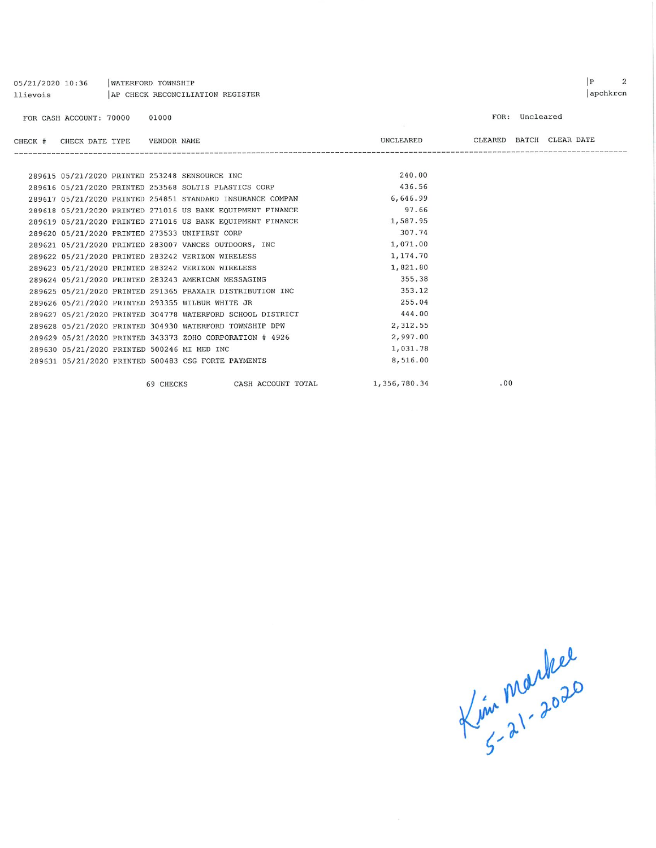| llievois | AP CHECK RECONCILIATION REGISTER |  |           |                                                            |                 |                          |                | apchkrcn |
|----------|----------------------------------|--|-----------|------------------------------------------------------------|-----------------|--------------------------|----------------|----------|
|          | FOR CASH ACCOUNT: 70000          |  | 01000     |                                                            | <b>Contract</b> |                          | FOR: Uncleared |          |
| CHECK #  | CHECK DATE TYPE    VENDOR NAME   |  |           |                                                            | UNCLEARED       | CLEARED BATCH CLEAR DATE |                |          |
|          |                                  |  |           |                                                            |                 |                          |                |          |
|          |                                  |  |           | 289615 05/21/2020 PRINTED 253248 SENSOURCE INC             | 240.00          |                          |                |          |
|          |                                  |  |           | 289616 05/21/2020 PRINTED 253568 SOLTIS PLASTICS CORP      | 436.56          |                          |                |          |
|          |                                  |  |           | 289617 05/21/2020 PRINTED 254851 STANDARD INSURANCE COMPAN | 6,646.99        |                          |                |          |
|          |                                  |  |           | 289618 05/21/2020 PRINTED 271016 US BANK EQUIPMENT FINANCE | 97.66           |                          |                |          |
|          |                                  |  |           | 289619 05/21/2020 PRINTED 271016 US BANK EQUIPMENT FINANCE | 1,587.95        |                          |                |          |
|          |                                  |  |           | 289620 05/21/2020 PRINTED 273533 UNIFIRST CORP             | 307.74          |                          |                |          |
|          |                                  |  |           | 289621 05/21/2020 PRINTED 283007 VANCES OUTDOORS, INC      | 1,071.00        |                          |                |          |
|          |                                  |  |           | 289622 05/21/2020 PRINTED 283242 VERIZON WIRELESS          | 1,174.70        |                          |                |          |
|          |                                  |  |           | 289623 05/21/2020 PRINTED 283242 VERIZON WIRELESS          | 1,821.80        |                          |                |          |
|          |                                  |  |           | 289624 05/21/2020 PRINTED 283243 AMERICAN MESSAGING        | 355.38          |                          |                |          |
|          |                                  |  |           | 289625 05/21/2020 PRINTED 291365 PRAXAIR DISTRIBUTION INC  | 353.12          |                          |                |          |
|          |                                  |  |           | 289626 05/21/2020 PRINTED 293355 WILBUR WHITE JR           | 255.04          |                          |                |          |
|          |                                  |  |           | 289627 05/21/2020 PRINTED 304778 WATERFORD SCHOOL DISTRICT | 444.00          |                          |                |          |
|          |                                  |  |           | 289628 05/21/2020 PRINTED 304930 WATERFORD TOWNSHIP DPW    | 2,312.55        |                          |                |          |
|          |                                  |  |           | 289629 05/21/2020 PRINTED 343373 ZOHO CORPORATION # 4926   | 2,997.00        |                          |                |          |
|          |                                  |  |           | 289630 05/21/2020 PRINTED 500246 MI MED INC                | 1,031.78        |                          |                |          |
|          |                                  |  |           | 289631 05/21/2020 PRINTED 500483 CSG FORTE PAYMENTS        | 8,516.00        |                          |                |          |
|          |                                  |  | 69 CHECKS | CASH ACCOUNT TOTAL                                         | 1,356,780.34    | .00                      |                |          |

WATERFORD TOWNSHIP

05/21/2020 10:36

Lin marker

 $P$  2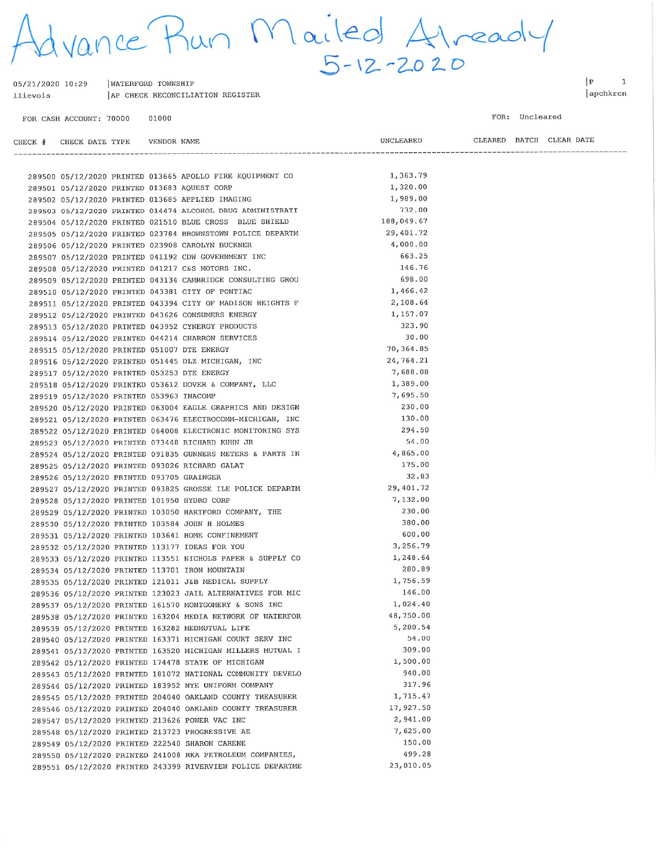dvance Run Mailed Already

| 05/21/2020 10:29 |  | WATERFORD TOWNSHIP               |  |
|------------------|--|----------------------------------|--|
| llievois         |  | AP CHECK RECONCILIATION REGISTER |  |

01000 FOR CASH ACCOUNT: 70000

 $\mathbf{P}$  $\overline{1}$ apchkrcn

FOR: Uncleared

| CHECK # CHECK DATE TYPE    VENDOR NAME      |  |                                                                                                                      | UNCLEARED          |  | CLEARED BATCH CLEAR DATE |
|---------------------------------------------|--|----------------------------------------------------------------------------------------------------------------------|--------------------|--|--------------------------|
|                                             |  |                                                                                                                      |                    |  |                          |
|                                             |  | 289500 05/12/2020 PRINTED 013665 APOLLO FIRE EQUIPMENT CO 1,363.79                                                   |                    |  |                          |
|                                             |  | 289501 05/12/2020 PRINTED 013683 AQUEST CORP                                                                         | 1,320.00           |  |                          |
|                                             |  | 289502 05/12/2020 PRINTED 013685 APPLIED IMAGING                                                                     | 1,989.00           |  |                          |
|                                             |  | 289503 05/12/2020 PRINTED 014474 ALCOHOL DRUG ADMINISTRATI                                                           | 732.00             |  |                          |
|                                             |  | 289504 05/12/2020 PRINTED 021510 BLUE CROSS BLUE SHIELD                                                              | 188,049.67         |  |                          |
|                                             |  | 289505 05/12/2020 PRINTED 023784 BROWNSTOWN POLICE DEPARTM                                                           | 29,401.72          |  |                          |
|                                             |  | 289506 05/12/2020 PRINTED 023908 CAROLYN BUCKNER                                                                     | 4,000.00           |  |                          |
|                                             |  | 289507 05/12/2020 PRINTED 041192 CDW GOVERNMENT INC                                                                  | 663.25             |  |                          |
|                                             |  | 289508 05/12/2020 PRINTED 041217 C&S MOTORS INC.                                                                     | 146.76             |  |                          |
|                                             |  | 289509 05/12/2020 PRINTED 043134 CAMBRIDGE CONSULTING GROU                                                           | 698.00             |  |                          |
|                                             |  | 289510 05/12/2020 PRINTED 043381 CITY OF PONTIAC                                                                     | 1,466.42           |  |                          |
|                                             |  | 289511 05/12/2020 PRINTED 043394 CITY OF MADISON HEIGHTS F                                                           | 2,108.64           |  |                          |
|                                             |  | 289512 05/12/2020 PRINTED 043626 CONSUMERS ENERGY                                                                    | 1,157.07           |  |                          |
|                                             |  | 289513 05/12/2020 PRINTED 043952 CYNERGY PRODUCTS                                                                    | 323.90             |  |                          |
|                                             |  | 289514 05/12/2020 PRINTED 044214 CHARRON SERVICES                                                                    | 30.00              |  |                          |
| 289515 05/12/2020 PRINTED 051007 DTE ENERGY |  |                                                                                                                      | 70,364.85          |  |                          |
|                                             |  | 289516 05/12/2020 PRINTED 051445 DLZ MICHIGAN, INC                                                                   | 24,764.21          |  |                          |
| 289517 05/12/2020 PRINTED 053253 DTE ENERGY |  |                                                                                                                      | 7,688.08           |  |                          |
|                                             |  | 289518 05/12/2020 PRINTED 053612 DOVER & COMPANY, LLC                                                                | 1,389.00           |  |                          |
| 289519 05/12/2020 PRINTED 053963 INACOMP    |  |                                                                                                                      | 7,695.50           |  |                          |
|                                             |  | 289520 05/12/2020 PRINTED 063004 EAGLE GRAPHICS AND DESIGN                                                           | 230.00             |  |                          |
|                                             |  | 289521 05/12/2020 PRINTED 063476 ELECTROCOMM-MICHIGAN, INC                                                           | 130.00             |  |                          |
|                                             |  | 289522 05/12/2020 PRINTED 064008 ELECTRONIC MONITORING SYS                                                           | 294.50             |  |                          |
|                                             |  | 289523 05/12/2020 PRINTED 073448 RICHARD KUHN JR                                                                     | 54.00              |  |                          |
|                                             |  | 289524 05/12/2020 PRINTED 091835 GUNNERS METERS & PARTS IN                                                           | 4,865.00           |  |                          |
|                                             |  | 289525 05/12/2020 PRINTED 093026 RICHARD GALAT                                                                       | 175.00             |  |                          |
| 289526 05/12/2020 PRINTED 093705 GRAINGER   |  |                                                                                                                      | 32.83              |  |                          |
|                                             |  | 289527 05/12/2020 PRINTED 093825 GROSSE ILE POLICE DEPARTM                                                           | 29,401.72          |  |                          |
| 289528 05/12/2020 PRINTED 101950 HYDRO CORP |  |                                                                                                                      | 7,132.00           |  |                          |
|                                             |  | 289529 05/12/2020 PRINTED 103050 HARTFORD COMPANY, THE                                                               | 230.00             |  |                          |
|                                             |  | 289530 05/12/2020 PRINTED 103584 JOHN H HOLMES                                                                       | 380.00             |  |                          |
|                                             |  | 289531 05/12/2020 PRINTED 103641 HOME CONFINEMENT                                                                    | 600.00             |  |                          |
|                                             |  | 289532 05/12/2020 PRINTED 113177 IDEAS FOR YOU                                                                       | 3,256.79           |  |                          |
|                                             |  |                                                                                                                      | 1,248.64           |  |                          |
|                                             |  | 289533 05/12/2020 PRINTED 113551 NICHOLS PAPER & SUPPLY CO                                                           | 280.89             |  |                          |
|                                             |  | 289534 05/12/2020 PRINTED 113701 IRON MOUNTAIN                                                                       | 1,756.59           |  |                          |
|                                             |  | 289535 05/12/2020 PRINTED 121011 J&B MEDICAL SUPPLY                                                                  | 146.00             |  |                          |
|                                             |  | 289536 05/12/2020 PRINTED 123023 JAIL ALTERNATIVES FOR MIC<br>289537 05/12/2020 PRINTED 161570 MONTGOMERY & SONS INC | 1,024.40           |  |                          |
|                                             |  |                                                                                                                      | 48,750.00          |  |                          |
|                                             |  | 289538 05/12/2020 PRINTED 163204 MEDIA NETWORK OF WATERFOR                                                           | 5,280.54           |  |                          |
|                                             |  | 289539 05/12/2020 PRINTED 163282 MEDMUTUAL LIFE                                                                      | 54.00              |  |                          |
|                                             |  | 289540 05/12/2020 PRINTED 163371 MICHIGAN COURT SERV INC                                                             | 309.00             |  |                          |
|                                             |  | 289541 05/12/2020 PRINTED 163520 MICHIGAN MILLERS MUTUAL I                                                           | 1,500.00           |  |                          |
|                                             |  | 289542 05/12/2020 PRINTED 174478 STATE OF MICHIGAN                                                                   | 940.00             |  |                          |
|                                             |  | 289543 05/12/2020 PRINTED 181072 NATIONAL COMMUNITY DEVELO                                                           |                    |  |                          |
|                                             |  | 289544 05/12/2020 PRINTED 183952 NYE UNIFORM COMPANY                                                                 | 317.96<br>1,715.47 |  |                          |
|                                             |  | 289545 05/12/2020 PRINTED 204040 OAKLAND COUNTY TREASURER                                                            |                    |  |                          |
|                                             |  | 289546 05/12/2020 PRINTED 204040 OAKLAND COUNTY TREASURER                                                            | 17,927.50          |  |                          |
|                                             |  | 289547 05/12/2020 PRINTED 213626 POWER VAC INC                                                                       | 2,941.00           |  |                          |
|                                             |  | 289548 05/12/2020 PRINTED 213723 PROGRESSIVE AE                                                                      | 7,625.00           |  |                          |
|                                             |  | 289549 05/12/2020 PRINTED 222540 SHARON CARENE                                                                       | 150.00             |  |                          |
|                                             |  | 289550 05/12/2020 PRINTED 241008 RKA PETROLEUM COMPANIES,                                                            | 499.28             |  |                          |
|                                             |  | 289551 05/12/2020 PRINTED 243399 RIVERVIEW POLICE DEPARTME                                                           | 23,010.05          |  |                          |